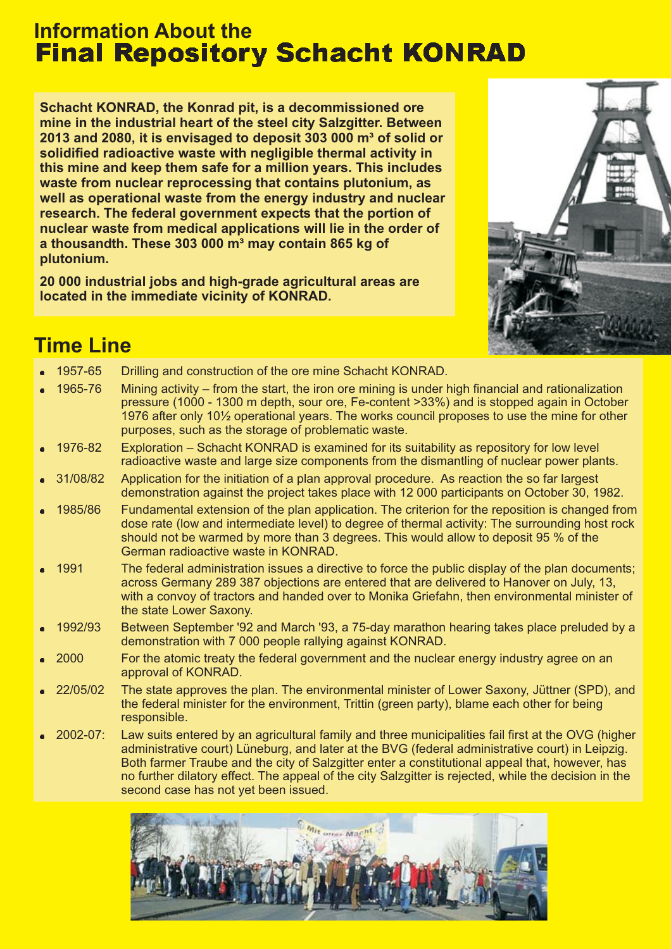# **Information About the Final Repository Schacht KONRAD**

**Schacht KONRAD, the Konrad pit, is a decommissioned ore mine in the industrial heart of the steel city Salzgitter. Between 2013 and 2080, it is envisaged to deposit 303 000 m³ of solid or solidified radioactive waste with negligible thermal activity in this mine and keep them safe for a million years. This includes waste from nuclear reprocessing that contains plutonium, as well as operational waste from the energy industry and nuclear research. The federal government expects that the portion of nuclear waste from medical applications will lie in the order of a thousandth. These 303 000 m³ may contain 865 kg of plutonium.**

**20 000 industrial jobs and high-grade agricultural areas are located in the immediate vicinity of KONRAD.**



## **Time Line**

| $\bullet$ | 1957-65            | Drilling and construction of the ore mine Schacht KONRAD.                                                                                                                                                                                                                                                                                                                                                                                               |
|-----------|--------------------|---------------------------------------------------------------------------------------------------------------------------------------------------------------------------------------------------------------------------------------------------------------------------------------------------------------------------------------------------------------------------------------------------------------------------------------------------------|
|           | • 1965-76          | Mining activity – from the start, the iron ore mining is under high financial and rationalization<br>pressure (1000 - 1300 m depth, sour ore, Fe-content >33%) and is stopped again in October<br>1976 after only 10½ operational years. The works council proposes to use the mine for other<br>purposes, such as the storage of problematic waste.                                                                                                    |
|           | • 1976-82          | Exploration – Schacht KONRAD is examined for its suitability as repository for low level<br>radioactive waste and large size components from the dismantling of nuclear power plants.                                                                                                                                                                                                                                                                   |
|           | $-31/08/82$        | Application for the initiation of a plan approval procedure. As reaction the so far largest<br>demonstration against the project takes place with 12 000 participants on October 30, 1982.                                                                                                                                                                                                                                                              |
|           | • 1985/86          | Fundamental extension of the plan application. The criterion for the reposition is changed from<br>dose rate (low and intermediate level) to degree of thermal activity: The surrounding host rock<br>should not be warmed by more than 3 degrees. This would allow to deposit 95 % of the<br>German radioactive waste in KONRAD.                                                                                                                       |
|           | $\bullet$ 1991     | The federal administration issues a directive to force the public display of the plan documents;<br>across Germany 289 387 objections are entered that are delivered to Hanover on July, 13,<br>with a convoy of tractors and handed over to Monika Griefahn, then environmental minister of<br>the state Lower Saxony.                                                                                                                                 |
|           | $-1992/93$         | Between September '92 and March '93, a 75-day marathon hearing takes place preluded by a<br>demonstration with 7 000 people rallying against KONRAD.                                                                                                                                                                                                                                                                                                    |
|           | $\bullet$ 2000     | For the atomic treaty the federal government and the nuclear energy industry agree on an<br>approval of KONRAD.                                                                                                                                                                                                                                                                                                                                         |
|           | $\bullet$ 22/05/02 | The state approves the plan. The environmental minister of Lower Saxony, Jüttner (SPD), and<br>the federal minister for the environment, Trittin (green party), blame each other for being<br>responsible.                                                                                                                                                                                                                                              |
|           | $\bullet$ 2002-07: | Law suits entered by an agricultural family and three municipalities fail first at the OVG (higher<br>administrative court) Lüneburg, and later at the BVG (federal administrative court) in Leipzig.<br>Both farmer Traube and the city of Salzgitter enter a constitutional appeal that, however, has<br>no further dilatory effect. The appeal of the city Salzgitter is rejected, while the decision in the<br>second case has not yet been issued. |